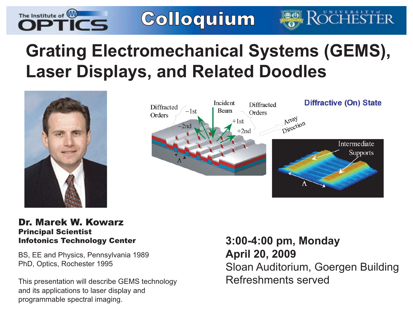

Colloquium

# **Grating Electromechanical Systems (GEMS), Laser Displays, and Related Doodles**





## Dr. Marek W. KowarzPrincipal Scientist

BS, EE and Physics, Pennsylvania 1989 PhD, Optics, Rochester 1995

This presentation will describe GEMS technology and its applications to laser display and programmable spectral imaging.

Infotonics Technology Center **3:00-4:00 pm, Monday April 20, 2009** Sloan Auditorium, Goergen Building Refreshments served

**DCHES**